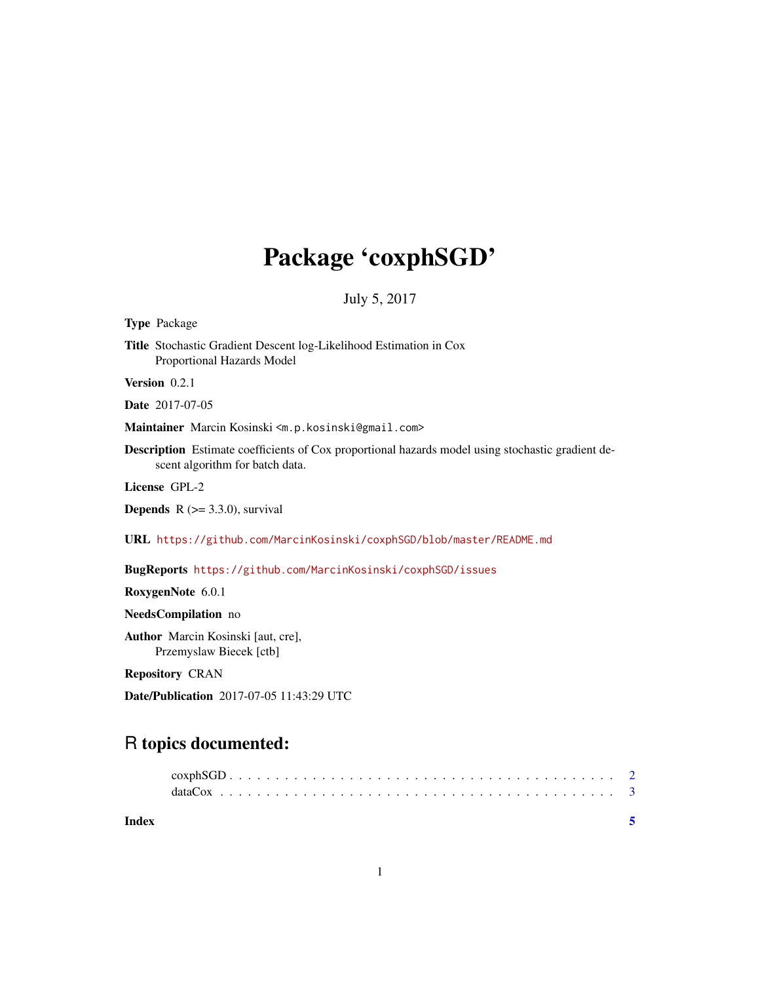## Package 'coxphSGD'

July 5, 2017

Type Package

Title Stochastic Gradient Descent log-Likelihood Estimation in Cox Proportional Hazards Model

Version 0.2.1

Date 2017-07-05

Maintainer Marcin Kosinski <m.p.kosinski@gmail.com>

Description Estimate coefficients of Cox proportional hazards model using stochastic gradient descent algorithm for batch data.

License GPL-2

**Depends**  $R$  ( $>=$  3.3.0), survival

URL <https://github.com/MarcinKosinski/coxphSGD/blob/master/README.md>

BugReports <https://github.com/MarcinKosinski/coxphSGD/issues>

RoxygenNote 6.0.1

NeedsCompilation no

Author Marcin Kosinski [aut, cre], Przemyslaw Biecek [ctb]

Repository CRAN

Date/Publication 2017-07-05 11:43:29 UTC

### R topics documented: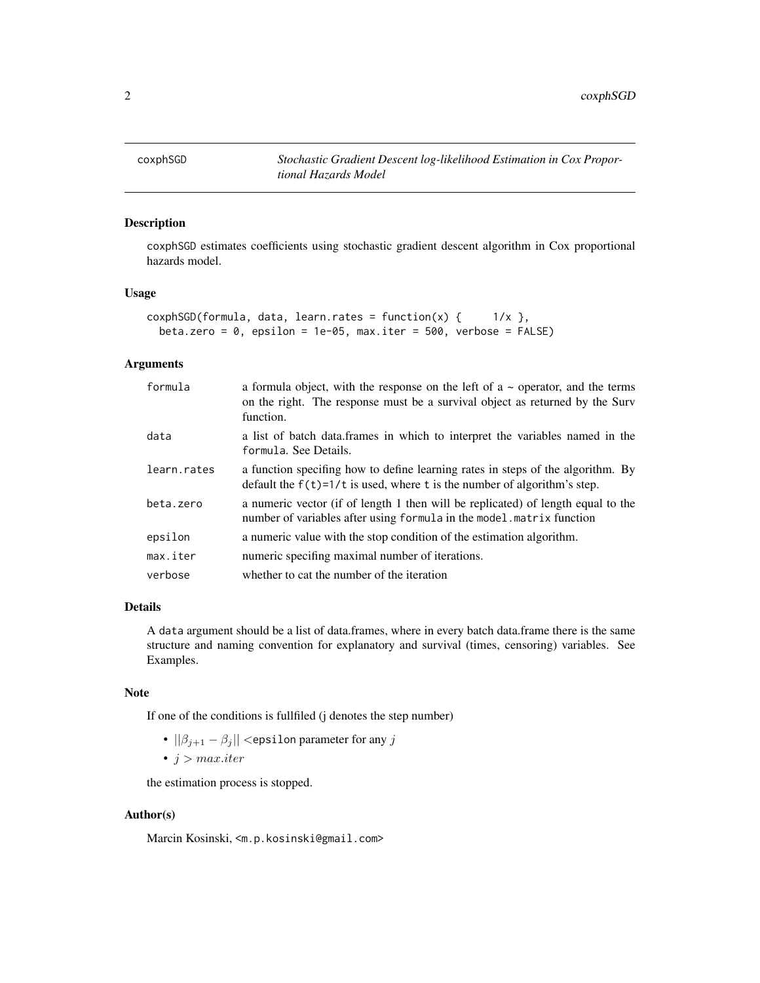<span id="page-1-0"></span>coxphSGD *Stochastic Gradient Descent log-likelihood Estimation in Cox Proportional Hazards Model*

#### Description

coxphSGD estimates coefficients using stochastic gradient descent algorithm in Cox proportional hazards model.

#### Usage

```
coshSGD(formula, data, learn.rates = function(x) { 1/x },beta.zero = 0, epsilon = 1e-05, max.iter = 500, verbose = FALSE)
```
#### Arguments

| formula     | a formula object, with the response on the left of $a \sim$ operator, and the terms<br>on the right. The response must be a survival object as returned by the Surv<br>function. |
|-------------|----------------------------------------------------------------------------------------------------------------------------------------------------------------------------------|
| data        | a list of batch data. frames in which to interpret the variables named in the<br>formula. See Details.                                                                           |
| learn.rates | a function specifing how to define learning rates in steps of the algorithm. By<br>default the $f(t)=1/t$ is used, where t is the number of algorithm's step.                    |
| beta.zero   | a numeric vector (if of length 1 then will be replicated) of length equal to the<br>number of variables after using formula in the model. matrix function                        |
| epsilon     | a numeric value with the stop condition of the estimation algorithm.                                                                                                             |
| max.iter    | numeric specifing maximal number of iterations.                                                                                                                                  |
| verbose     | whether to cat the number of the iteration                                                                                                                                       |

#### Details

A data argument should be a list of data.frames, where in every batch data.frame there is the same structure and naming convention for explanatory and survival (times, censoring) variables. See Examples.

#### Note

If one of the conditions is fullfiled (j denotes the step number)

- $||\beta_{j+1} \beta_j||$  <epsilon parameter for any j
- $j > max.iter$

the estimation process is stopped.

#### Author(s)

Marcin Kosinski, <m.p.kosinski@gmail.com>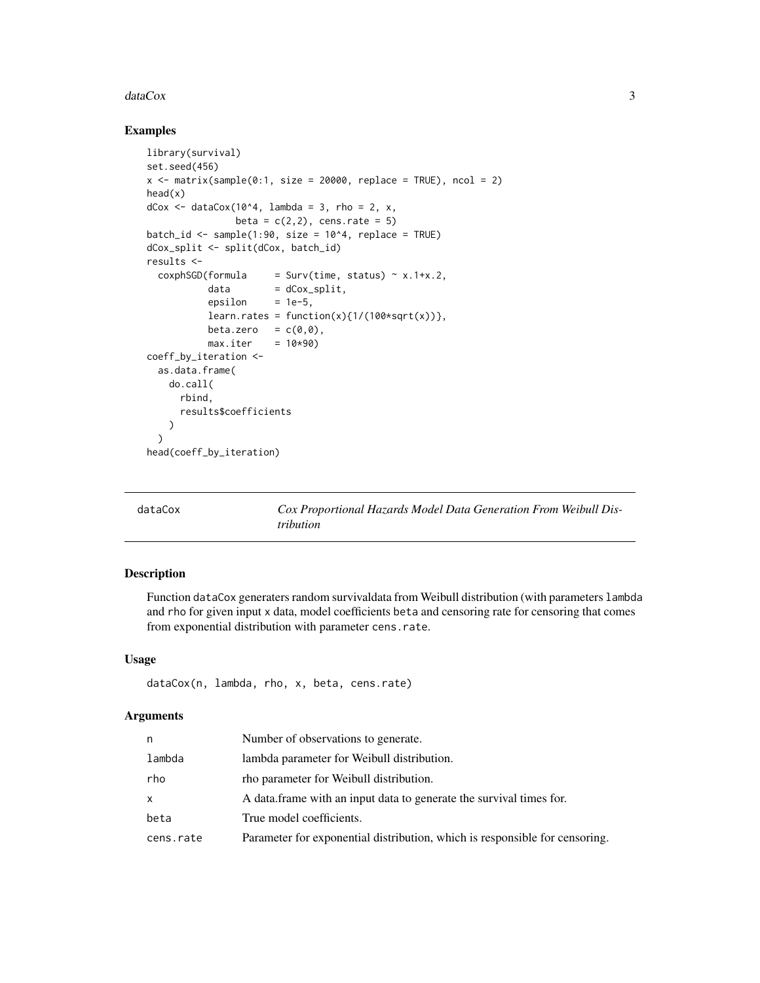#### <span id="page-2-0"></span>dataCox 3

#### Examples

```
library(survival)
set.seed(456)
x \le matrix(sample(0:1, size = 20000, replace = TRUE), ncol = 2)
head(x)
dCox \leq - \frac{dataCox(10^4, \text{lambda})}{2} = 3, \text{rho} = 2, x,beta = c(2,2), cens.rate = 5)
batch_id <- sample(1:90, size = 10^4, replace = TRUE)
dCox_split <- split(dCox, batch_id)
results <-
  coshSGD(formula = Surv(time, status) \sim x.1+x.2,data = dCox_split,epsilon = 1e-5,
           learn.rates = function(x){1/(100*sqrt(x)))},
           beta.zero = c(\emptyset, \emptyset),
           max.iter = 10*90coeff_by_iteration <-
  as.data.frame(
    do.call(
      rbind,
      results$coefficients
    )
  )
head(coeff_by_iteration)
```
Cox Proportional Hazards Model Data Generation From Weibull Dis*tribution*

#### Description

Function dataCox generaters random survivaldata from Weibull distribution (with parameters lambda and rho for given input x data, model coefficients beta and censoring rate for censoring that comes from exponential distribution with parameter cens.rate.

#### Usage

```
dataCox(n, lambda, rho, x, beta, cens.rate)
```
#### Arguments

| n            | Number of observations to generate.                                         |
|--------------|-----------------------------------------------------------------------------|
| lambda       | lambda parameter for Weibull distribution.                                  |
| rho          | the parameter for Weibull distribution.                                     |
| $\mathsf{x}$ | A data frame with an input data to generate the survival times for.         |
| beta         | True model coefficients.                                                    |
| cens.rate    | Parameter for exponential distribution, which is responsible for censoring. |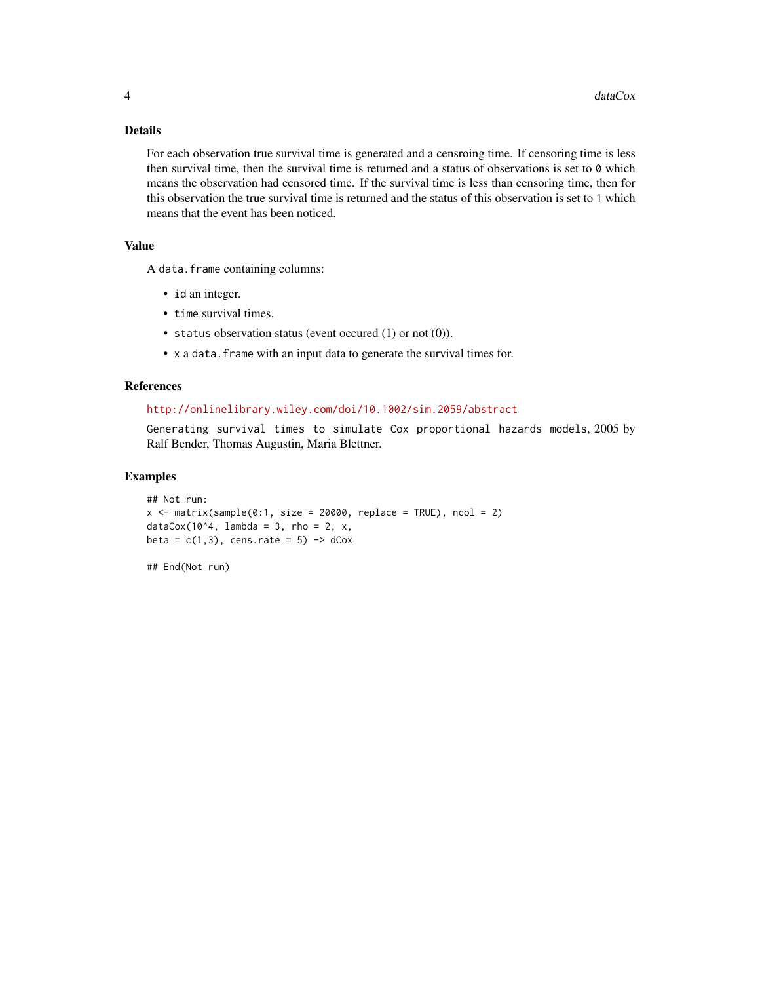#### Details

For each observation true survival time is generated and a censroing time. If censoring time is less then survival time, then the survival time is returned and a status of observations is set to 0 which means the observation had censored time. If the survival time is less than censoring time, then for this observation the true survival time is returned and the status of this observation is set to 1 which means that the event has been noticed.

#### Value

A data.frame containing columns:

- id an integer.
- time survival times.
- status observation status (event occured (1) or not (0)).
- x a data.frame with an input data to generate the survival times for.

#### References

#### <http://onlinelibrary.wiley.com/doi/10.1002/sim.2059/abstract>

Generating survival times to simulate Cox proportional hazards models, 2005 by Ralf Bender, Thomas Augustin, Maria Blettner.

#### Examples

```
## Not run:
x \le matrix(sample(0:1, size = 20000, replace = TRUE), ncol = 2)
dataCox(10^4, lambda = 3, rho = 2, x,
beta = c(1,3), cens.rate = 5) -> dCox
```
## End(Not run)